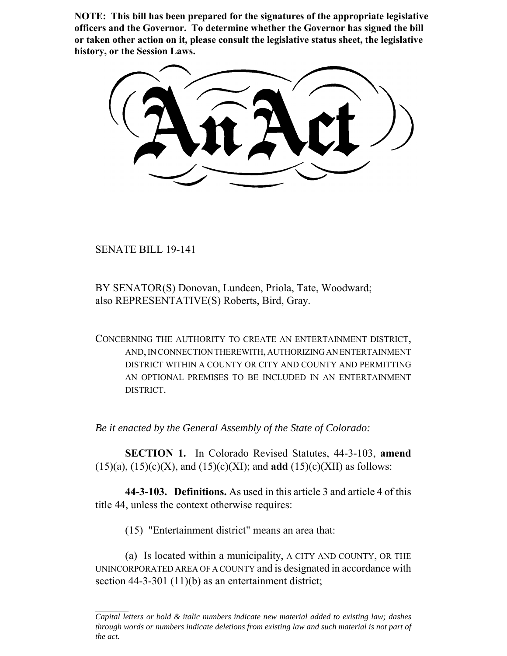**NOTE: This bill has been prepared for the signatures of the appropriate legislative officers and the Governor. To determine whether the Governor has signed the bill or taken other action on it, please consult the legislative status sheet, the legislative history, or the Session Laws.**

SENATE BILL 19-141

BY SENATOR(S) Donovan, Lundeen, Priola, Tate, Woodward; also REPRESENTATIVE(S) Roberts, Bird, Gray.

CONCERNING THE AUTHORITY TO CREATE AN ENTERTAINMENT DISTRICT, AND, IN CONNECTION THEREWITH, AUTHORIZING AN ENTERTAINMENT DISTRICT WITHIN A COUNTY OR CITY AND COUNTY AND PERMITTING AN OPTIONAL PREMISES TO BE INCLUDED IN AN ENTERTAINMENT DISTRICT.

*Be it enacted by the General Assembly of the State of Colorado:*

**SECTION 1.** In Colorado Revised Statutes, 44-3-103, **amend** (15)(a), (15)(c)(X), and (15)(c)(XI); and **add** (15)(c)(XII) as follows:

**44-3-103. Definitions.** As used in this article 3 and article 4 of this title 44, unless the context otherwise requires:

(15) "Entertainment district" means an area that:

(a) Is located within a municipality, A CITY AND COUNTY, OR THE UNINCORPORATED AREA OF A COUNTY and is designated in accordance with section 44-3-301 (11)(b) as an entertainment district;

*Capital letters or bold & italic numbers indicate new material added to existing law; dashes through words or numbers indicate deletions from existing law and such material is not part of the act.*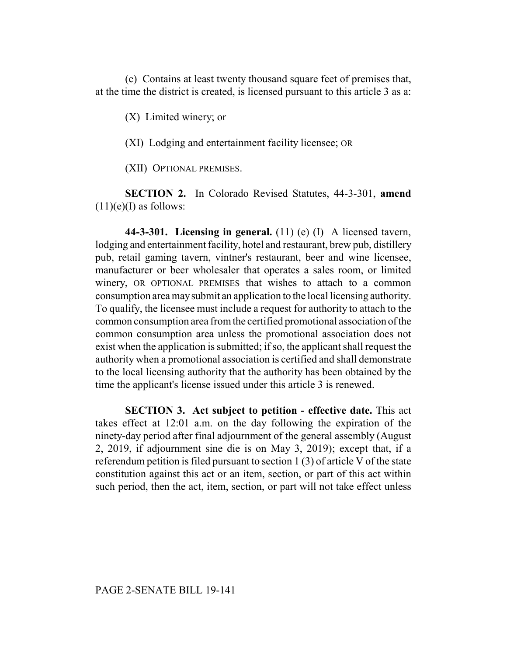(c) Contains at least twenty thousand square feet of premises that, at the time the district is created, is licensed pursuant to this article 3 as a:

 $(X)$  Limited winery; or

(XI) Lodging and entertainment facility licensee; OR

(XII) OPTIONAL PREMISES.

**SECTION 2.** In Colorado Revised Statutes, 44-3-301, **amend**  $(11)(e)$ (I) as follows:

**44-3-301. Licensing in general.** (11) (e) (I) A licensed tavern, lodging and entertainment facility, hotel and restaurant, brew pub, distillery pub, retail gaming tavern, vintner's restaurant, beer and wine licensee, manufacturer or beer wholesaler that operates a sales room, or limited winery, OR OPTIONAL PREMISES that wishes to attach to a common consumption area may submit an application to the local licensing authority. To qualify, the licensee must include a request for authority to attach to the common consumption area from the certified promotional association of the common consumption area unless the promotional association does not exist when the application is submitted; if so, the applicant shall request the authority when a promotional association is certified and shall demonstrate to the local licensing authority that the authority has been obtained by the time the applicant's license issued under this article 3 is renewed.

**SECTION 3. Act subject to petition - effective date.** This act takes effect at 12:01 a.m. on the day following the expiration of the ninety-day period after final adjournment of the general assembly (August 2, 2019, if adjournment sine die is on May 3, 2019); except that, if a referendum petition is filed pursuant to section 1 (3) of article V of the state constitution against this act or an item, section, or part of this act within such period, then the act, item, section, or part will not take effect unless